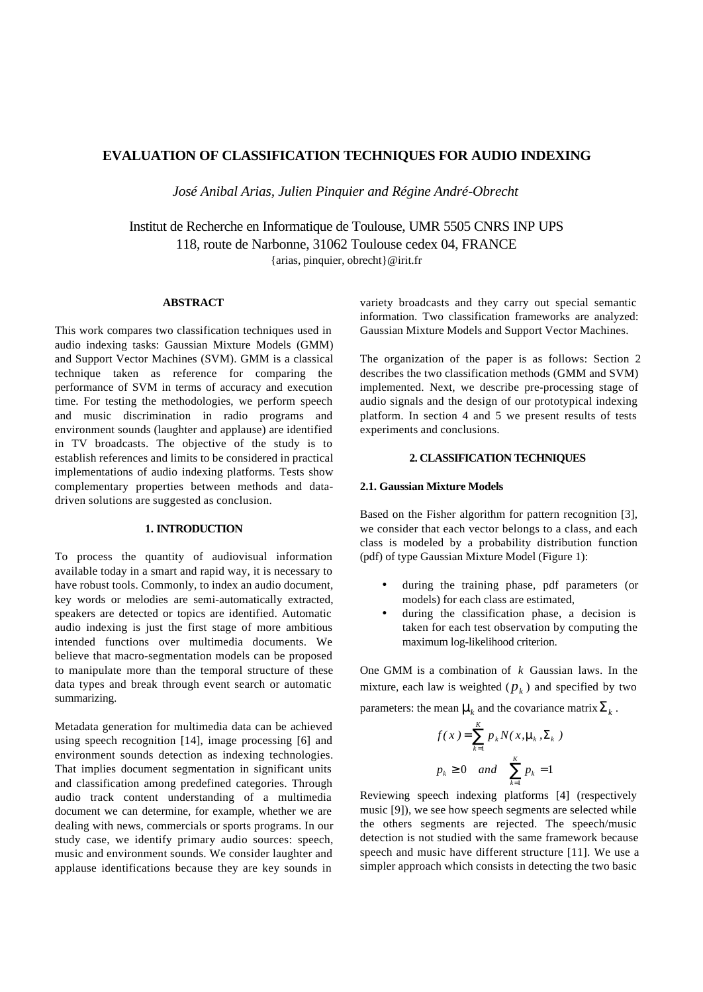# **EVALUATION OF CLASSIFICATION TECHNIQUES FOR AUDIO INDEXING**

*José Anibal Arias, Julien Pinquier and Régine André-Obrecht*

Institut de Recherche en Informatique de Toulouse, UMR 5505 CNRS INP UPS 118, route de Narbonne, 31062 Toulouse cedex 04, FRANCE {arias, pinquier, obrecht}@irit.fr

### **ABSTRACT**

This work compares two classification techniques used in audio indexing tasks: Gaussian Mixture Models (GMM) and Support Vector Machines (SVM). GMM is a classical technique taken as reference for comparing the performance of SVM in terms of accuracy and execution time. For testing the methodologies, we perform speech and music discrimination in radio programs and environment sounds (laughter and applause) are identified in TV broadcasts. The objective of the study is to establish references and limits to be considered in practical implementations of audio indexing platforms. Tests show complementary properties between methods and datadriven solutions are suggested as conclusion.

#### **1. INTRODUCTION**

To process the quantity of audiovisual information available today in a smart and rapid way, it is necessary to have robust tools. Commonly, to index an audio document, key words or melodies are semi-automatically extracted, speakers are detected or topics are identified. Automatic audio indexing is just the first stage of more ambitious intended functions over multimedia documents. We believe that macro-segmentation models can be proposed to manipulate more than the temporal structure of these data types and break through event search or automatic summarizing.

Metadata generation for multimedia data can be achieved using speech recognition [14], image processing [6] and environment sounds detection as indexing technologies. That implies document segmentation in significant units and classification among predefined categories. Through audio track content understanding of a multimedia document we can determine, for example, whether we are dealing with news, commercials or sports programs. In our study case, we identify primary audio sources: speech, music and environment sounds. We consider laughter and applause identifications because they are key sounds in

variety broadcasts and they carry out special semantic information. Two classification frameworks are analyzed: Gaussian Mixture Models and Support Vector Machines.

The organization of the paper is as follows: Section 2 describes the two classification methods (GMM and SVM) implemented. Next, we describe pre-processing stage of audio signals and the design of our prototypical indexing platform. In section 4 and 5 we present results of tests experiments and conclusions.

# **2. CLASSIFICATION TECHNIQUES**

#### **2.1. Gaussian Mixture Models**

Based on the Fisher algorithm for pattern recognition [3], we consider that each vector belongs to a class, and each class is modeled by a probability distribution function (pdf) of type Gaussian Mixture Model (Figure 1):

- during the training phase, pdf parameters (or models) for each class are estimated,
- during the classification phase, a decision is taken for each test observation by computing the maximum log-likelihood criterion.

One GMM is a combination of *k* Gaussian laws. In the mixture, each law is weighted  $(p_k)$  and specified by two parameters: the mean  $m_k$  and the covariance matrix $\Sigma_k$ .

$$
f(x) = \sum_{k=1}^{K} p_k N(x, \mathbf{m}_k, \Sigma_k)
$$
  

$$
p_k \ge 0 \quad and \quad \sum_{k=1}^{K} p_k = 1
$$

Reviewing speech indexing platforms [4] (respectively music [9]), we see how speech segments are selected while the others segments are rejected. The speech/music detection is not studied with the same framework because speech and music have different structure [11]. We use a simpler approach which consists in detecting the two basic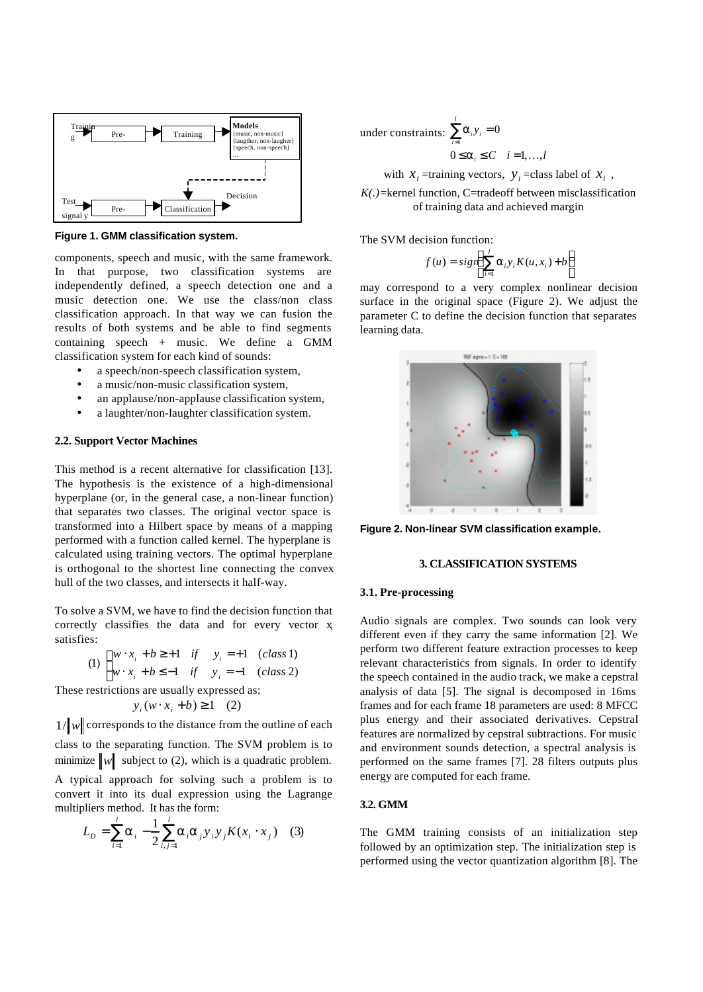

**Figure 1. GMM classification system.**

components, speech and music, with the same framework. In that purpose, two classification systems are independently defined, a speech detection one and a music detection one. We use the class/non class classification approach. In that way we can fusion the results of both systems and be able to find segments containing speech + music. We define a GMM classification system for each kind of sounds:

- a speech/non-speech classification system,
- a music/non-music classification system,
- an applause/non-applause classification system,
- a laughter/non-laughter classification system.

#### **2.2. Support Vector Machines**

This method is a recent alternative for classification [13]. The hypothesis is the existence of a high-dimensional hyperplane (or, in the general case, a non-linear function) that separates two classes. The original vector space is transformed into a Hilbert space by means of a mapping performed with a function called kernel. The hyperplane is calculated using training vectors. The optimal hyperplane is orthogonal to the shortest line connecting the convex hull of the two classes, and intersects it half-way.

To solve a SVM, we have to find the decision function that correctly classifies the data and for every vector  $x_i$ satisfies:

$$
(1) \begin{cases} w \cdot x_i + b \ge +1 & \text{if } y_i = +1 & \text{(class 1)} \\ w \cdot x_i + b \le -1 & \text{if } y_i = -1 & \text{(class 2)} \end{cases}
$$

These restrictions are usually expressed as:

$$
y_i(w \cdot x_i + b) \ge 1 \quad (2)
$$

 $1/\Vert w \Vert$  corresponds to the distance from the outline of each

class to the separating function. The SVM problem is to minimize  $\|w\|$  subject to (2), which is a quadratic problem.

A typical approach for solving such a problem is to convert it into its dual expression using the Lagrange multipliers method. It has the form:

$$
L_{D} = \sum_{i=1}^{l} \mathbf{a}_{i} - \frac{1}{2} \sum_{i,j=1}^{l} \mathbf{a}_{i} \mathbf{a}_{j} \mathbf{y}_{i} \mathbf{y}_{j} K(x_{i} \cdot x_{j}) \quad (3)
$$

under constraints:  $\sum^l \bm{a}_i y$  $0 \le a_i \le C$  *i* = 1, ...,*l*  $\sum_{i=1}^{\infty} a_i y_i = 0$  $\sum_{i=1} a_i y_i =$ *a*

with  $x_i$  =training vectors,  $y_i$  =class label of  $x_i$ ,

*K(.)*=kernel function, C=tradeoff between misclassification of training data and achieved margin

The SVM decision function:

$$
f(u) = sign\left(\sum_{i=1}^{l} a_i y_i K(u, x_i) + b\right)
$$

may correspond to a very complex nonlinear decision surface in the original space (Figure 2). We adjust the parameter C to define the decision function that separates learning data.



**Figure 2. Non-linear SVM classification example.**

### **3. CLASSIFICATION SYSTEMS**

#### **3.1. Pre-processing**

Audio signals are complex. Two sounds can look very different even if they carry the same information [2]. We perform two different feature extraction processes to keep relevant characteristics from signals. In order to identify the speech contained in the audio track, we make a cepstral analysis of data [5]. The signal is decomposed in 16ms frames and for each frame 18 parameters are used: 8 MFCC plus energy and their associated derivatives. Cepstral features are normalized by cepstral subtractions. For music and environment sounds detection, a spectral analysis is performed on the same frames [7]. 28 filters outputs plus energy are computed for each frame.

# **3.2. GMM**

The GMM training consists of an initialization step followed by an optimization step. The initialization step is performed using the vector quantization algorithm [8]. The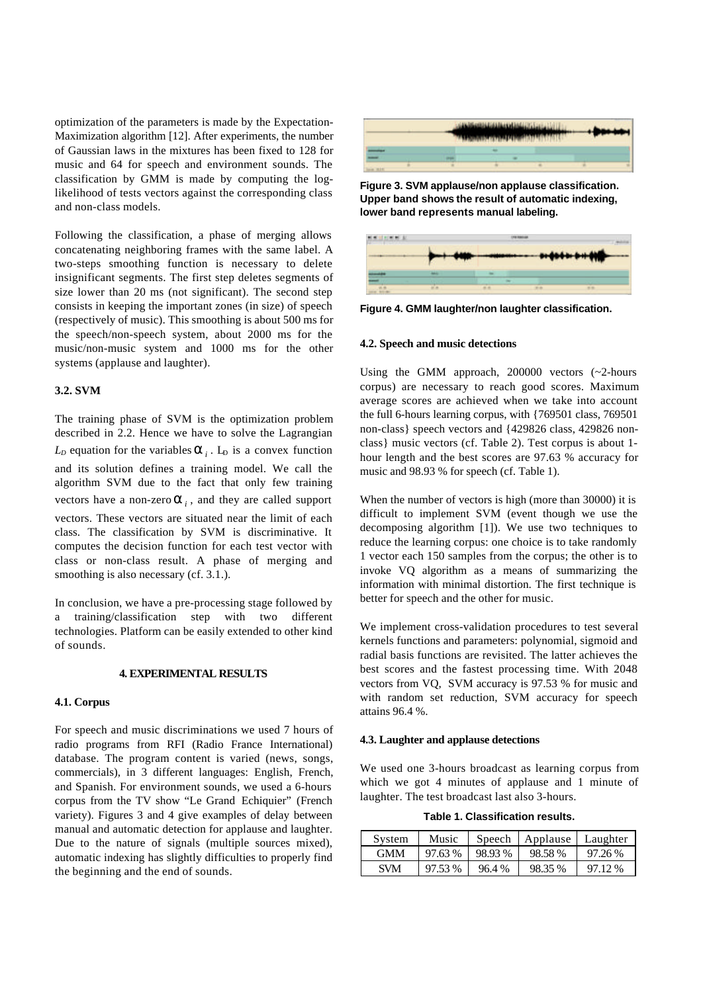optimization of the parameters is made by the Expectation-Maximization algorithm [12]. After experiments, the number of Gaussian laws in the mixtures has been fixed to 128 for music and 64 for speech and environment sounds. The classification by GMM is made by computing the loglikelihood of tests vectors against the corresponding class and non-class models.

Following the classification, a phase of merging allows concatenating neighboring frames with the same label. A two-steps smoothing function is necessary to delete insignificant segments. The first step deletes segments of size lower than 20 ms (not significant). The second step consists in keeping the important zones (in size) of speech (respectively of music). This smoothing is about 500 ms for the speech/non-speech system, about 2000 ms for the music/non-music system and 1000 ms for the other systems (applause and laughter).

#### **3.2. SVM**

The training phase of SVM is the optimization problem described in 2.2. Hence we have to solve the Lagrangian  $L<sub>D</sub>$  equation for the variables  $a<sub>i</sub>$ .  $L<sub>D</sub>$  is a convex function and its solution defines a training model. We call the algorithm SVM due to the fact that only few training vectors have a non-zero  $\boldsymbol{a}_i$ , and they are called support vectors. These vectors are situated near the limit of each class. The classification by SVM is discriminative. It computes the decision function for each test vector with class or non-class result. A phase of merging and smoothing is also necessary (cf. 3.1.).

In conclusion, we have a pre-processing stage followed by a training/classification step with two different technologies. Platform can be easily extended to other kind of sounds.

#### **4. EXPERIMENTAL RESULTS**

### **4.1. Corpus**

For speech and music discriminations we used 7 hours of radio programs from RFI (Radio France International) database. The program content is varied (news, songs, commercials), in 3 different languages: English, French, and Spanish. For environment sounds, we used a 6-hours corpus from the TV show "Le Grand Echiquier" (French variety). Figures 3 and 4 give examples of delay between manual and automatic detection for applause and laughter. Due to the nature of signals (multiple sources mixed), automatic indexing has slightly difficulties to properly find the beginning and the end of sounds.



**Figure 3. SVM applause/non applause classification. Upper band shows the result of automatic indexing, lower band represents manual labeling.**

|  |  |  | $\begin{picture}(180,10) \put(0,0){\line(1,0){10}} \put(10,0){\line(1,0){10}} \put(10,0){\line(1,0){10}} \put(10,0){\line(1,0){10}} \put(10,0){\line(1,0){10}} \put(10,0){\line(1,0){10}} \put(10,0){\line(1,0){10}} \put(10,0){\line(1,0){10}} \put(10,0){\line(1,0){10}} \put(10,0){\line(1,0){10}} \put(10,0){\line(1,0){10}} \put(10,0){\line($ |  |
|--|--|--|-----------------------------------------------------------------------------------------------------------------------------------------------------------------------------------------------------------------------------------------------------------------------------------------------------------------------------------------------------|--|
|  |  |  |                                                                                                                                                                                                                                                                                                                                                     |  |
|  |  |  |                                                                                                                                                                                                                                                                                                                                                     |  |

**Figure 4. GMM laughter/non laughter classification.**

#### **4.2. Speech and music detections**

Using the GMM approach, 200000 vectors (~2-hours corpus) are necessary to reach good scores. Maximum average scores are achieved when we take into account the full 6-hours learning corpus, with {769501 class, 769501 non-class} speech vectors and {429826 class, 429826 nonclass} music vectors (cf. Table 2). Test corpus is about 1 hour length and the best scores are 97.63 % accuracy for music and 98.93 % for speech (cf. Table 1).

When the number of vectors is high (more than 30000) it is difficult to implement SVM (event though we use the decomposing algorithm [1]). We use two techniques to reduce the learning corpus: one choice is to take randomly 1 vector each 150 samples from the corpus; the other is to invoke VQ algorithm as a means of summarizing the information with minimal distortion. The first technique is better for speech and the other for music.

We implement cross-validation procedures to test several kernels functions and parameters: polynomial, sigmoid and radial basis functions are revisited. The latter achieves the best scores and the fastest processing time. With 2048 vectors from VQ, SVM accuracy is 97.53 % for music and with random set reduction, SVM accuracy for speech attains 96.4 %.

#### **4.3. Laughter and applause detections**

We used one 3-hours broadcast as learning corpus from which we got 4 minutes of applause and 1 minute of laughter. The test broadcast last also 3-hours.

**Table 1. Classification results.**

| System     | Music   | Speech  | Applause Laughter |         |
|------------|---------|---------|-------------------|---------|
| <b>GMM</b> | 97.63 % | 98.93 % | 98.58%            | 97.26 % |
| SVM        | 97.53 % | 96.4 %  | 98.35 %           | 97.12%  |